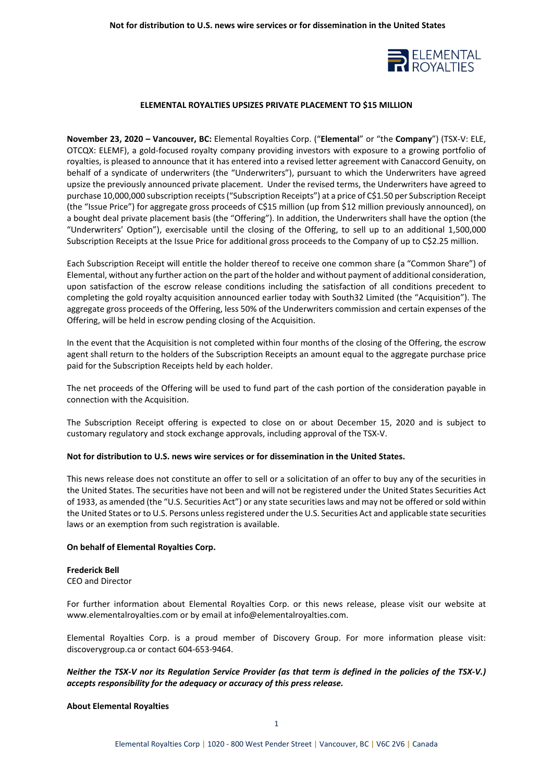

# **ELEMENTAL ROYALTIES UPSIZES PRIVATE PLACEMENT TO \$15 MILLION**

**November 23, 2020 – Vancouver, BC:** Elemental Royalties Corp. ("**Elemental**" or "the **Company**") (TSX-V: ELE, OTCQX: ELEMF), a gold-focused royalty company providing investors with exposure to a growing portfolio of royalties, is pleased to announce that it has entered into a revised letter agreement with Canaccord Genuity, on behalf of a syndicate of underwriters (the "Underwriters"), pursuant to which the Underwriters have agreed upsize the previously announced private placement. Under the revised terms, the Underwriters have agreed to purchase 10,000,000 subscription receipts ("Subscription Receipts") at a price of C\$1.50 per Subscription Receipt (the "Issue Price") for aggregate gross proceeds of C\$15 million (up from \$12 million previously announced), on a bought deal private placement basis (the "Offering"). In addition, the Underwriters shall have the option (the "Underwriters' Option"), exercisable until the closing of the Offering, to sell up to an additional 1,500,000 Subscription Receipts at the Issue Price for additional gross proceeds to the Company of up to C\$2.25 million.

Each Subscription Receipt will entitle the holder thereof to receive one common share (a "Common Share") of Elemental, without any further action on the part of the holder and without payment of additional consideration, upon satisfaction of the escrow release conditions including the satisfaction of all conditions precedent to completing the gold royalty acquisition announced earlier today with South32 Limited (the "Acquisition"). The aggregate gross proceeds of the Offering, less 50% of the Underwriters commission and certain expenses of the Offering, will be held in escrow pending closing of the Acquisition.

In the event that the Acquisition is not completed within four months of the closing of the Offering, the escrow agent shall return to the holders of the Subscription Receipts an amount equal to the aggregate purchase price paid for the Subscription Receipts held by each holder.

The net proceeds of the Offering will be used to fund part of the cash portion of the consideration payable in connection with the Acquisition.

The Subscription Receipt offering is expected to close on or about December 15, 2020 and is subject to customary regulatory and stock exchange approvals, including approval of the TSX-V.

### **Not for distribution to U.S. news wire services or for dissemination in the United States.**

This news release does not constitute an offer to sell or a solicitation of an offer to buy any of the securities in the United States. The securities have not been and will not be registered under the United States Securities Act of 1933, as amended (the "U.S. Securities Act") or any state securities laws and may not be offered or sold within the United States or to U.S. Persons unless registered under the U.S. Securities Act and applicable state securities laws or an exemption from such registration is available.

### **On behalf of Elemental Royalties Corp.**

### **Frederick Bell**

CEO and Director

For further information about Elemental Royalties Corp. or this news release, please visit our website at www.elementalroyalties.com or by email at info@elementalroyalties.com.

Elemental Royalties Corp. is a proud member of Discovery Group. For more information please visit: discoverygroup.ca or contact 604-653-9464.

*Neither the TSX-V nor its Regulation Service Provider (as that term is defined in the policies of the TSX-V.) accepts responsibility for the adequacy or accuracy of this press release.*

### **About Elemental Royalties**